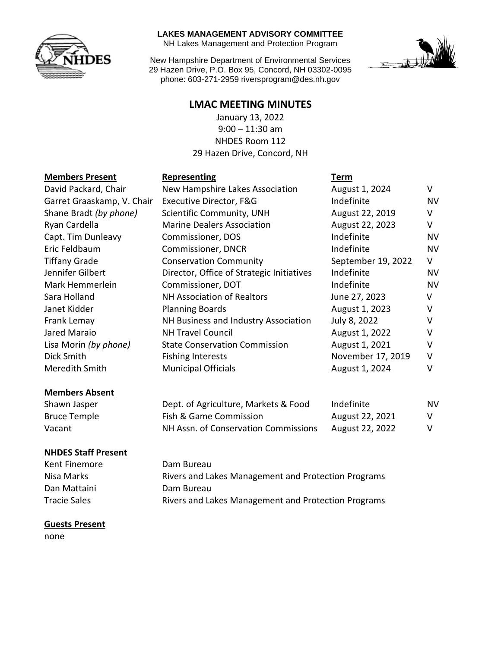

#### **LAKES MANAGEMENT ADVISORY COMMITTEE**

NH Lakes Management and Protection Program

New Hampshire Department of Environmental Services 29 Hazen Drive, P.O. Box 95, Concord, NH 03302-0095 phone: 603-271-2959 riversprogram@des.nh.gov



## **LMAC MEETING MINUTES**

January 13, 2022 9:00 – 11:30 am NHDES Room 112 29 Hazen Drive, Concord, NH

## **Members Present Representing Term**

| <b>NIGHTS</b> Present      | Representing                              | <u>ierm</u>        |           |
|----------------------------|-------------------------------------------|--------------------|-----------|
| David Packard, Chair       | New Hampshire Lakes Association           | August 1, 2024     | V         |
| Garret Graaskamp, V. Chair | Executive Director, F&G                   | Indefinite         | <b>NV</b> |
| Shane Bradt (by phone)     | Scientific Community, UNH                 | August 22, 2019    | $\vee$    |
| Ryan Cardella              | <b>Marine Dealers Association</b>         | August 22, 2023    | V         |
| Capt. Tim Dunleavy         | Commissioner, DOS                         | Indefinite         | <b>NV</b> |
| Eric Feldbaum              | <b>Commissioner, DNCR</b>                 | Indefinite         | <b>NV</b> |
| <b>Tiffany Grade</b>       | <b>Conservation Community</b>             | September 19, 2022 | V         |
| Jennifer Gilbert           | Director, Office of Strategic Initiatives | Indefinite         | <b>NV</b> |
| Mark Hemmerlein            | Commissioner, DOT                         | Indefinite         | <b>NV</b> |
| Sara Holland               | <b>NH Association of Realtors</b>         | June 27, 2023      | V         |
| Janet Kidder               | <b>Planning Boards</b>                    | August 1, 2023     | V         |
| Frank Lemay                | NH Business and Industry Association      | July 8, 2022       | $\vee$    |
| Jared Maraio               | <b>NH Travel Council</b>                  | August 1, 2022     | V         |
| Lisa Morin (by phone)      | <b>State Conservation Commission</b>      | August 1, 2021     | $\vee$    |
| Dick Smith                 | <b>Fishing Interests</b>                  | November 17, 2019  | V         |
| Meredith Smith             | <b>Municipal Officials</b>                | August 1, 2024     | $\vee$    |
| <b>Members Absent</b>      |                                           |                    |           |

| Shawn Jasper | Dept. of Agriculture, Markets & Food | Indefinite      | N٧ |
|--------------|--------------------------------------|-----------------|----|
| Bruce Temple | Fish & Game Commission               | August 22, 2021 | V. |
| Vacant       | NH Assn. of Conservation Commissions | August 22, 2022 | V. |

### **NHDES Staff Present**

Kent Finemore **Dam Bureau** Nisa Marks **Rivers and Lakes Management and Protection Programs** Dan Mattaini **Dam Bureau** Tracie Sales **Rivers and Lakes Management and Protection Programs** 

### **Guests Present**

none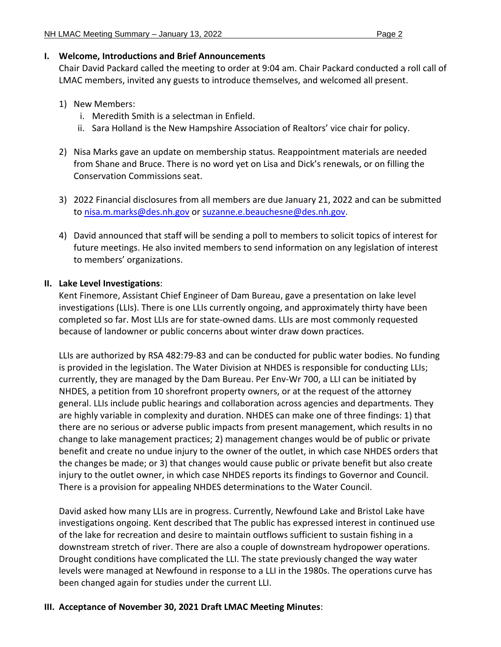## **I. Welcome, Introductions and Brief Announcements**

Chair David Packard called the meeting to order at 9:04 am. Chair Packard conducted a roll call of LMAC members, invited any guests to introduce themselves, and welcomed all present.

- 1) New Members:
	- i. Meredith Smith is a selectman in Enfield.
	- ii. Sara Holland is the New Hampshire Association of Realtors' vice chair for policy.
- 2) Nisa Marks gave an update on membership status. Reappointment materials are needed from Shane and Bruce. There is no word yet on Lisa and Dick's renewals, or on filling the Conservation Commissions seat.
- 3) 2022 Financial disclosures from all members are due January 21, 2022 and can be submitted to [nisa.m.marks@des.nh.gov](mailto:nisa.m.marks@des.nh.gov) or [suzanne.e.beauchesne@des.nh.gov.](mailto:suzanne.e.beauchesne@des.nh.gov)
- 4) David announced that staff will be sending a poll to members to solicit topics of interest for future meetings. He also invited members to send information on any legislation of interest to members' organizations.

# **II. Lake Level Investigations**:

Kent Finemore, Assistant Chief Engineer of Dam Bureau, gave a presentation on lake level investigations (LLIs). There is one LLIs currently ongoing, and approximately thirty have been completed so far. Most LLIs are for state-owned dams. LLIs are most commonly requested because of landowner or public concerns about winter draw down practices.

LLIs are authorized by RSA 482:79-83 and can be conducted for public water bodies. No funding is provided in the legislation. The Water Division at NHDES is responsible for conducting LLIs; currently, they are managed by the Dam Bureau. Per Env-Wr 700, a LLI can be initiated by NHDES, a petition from 10 shorefront property owners, or at the request of the attorney general. LLIs include public hearings and collaboration across agencies and departments. They are highly variable in complexity and duration. NHDES can make one of three findings: 1) that there are no serious or adverse public impacts from present management, which results in no change to lake management practices; 2) management changes would be of public or private benefit and create no undue injury to the owner of the outlet, in which case NHDES orders that the changes be made; or 3) that changes would cause public or private benefit but also create injury to the outlet owner, in which case NHDES reports its findings to Governor and Council. There is a provision for appealing NHDES determinations to the Water Council.

David asked how many LLIs are in progress. Currently, Newfound Lake and Bristol Lake have investigations ongoing. Kent described that The public has expressed interest in continued use of the lake for recreation and desire to maintain outflows sufficient to sustain fishing in a downstream stretch of river. There are also a couple of downstream hydropower operations. Drought conditions have complicated the LLI. The state previously changed the way water levels were managed at Newfound in response to a LLI in the 1980s. The operations curve has been changed again for studies under the current LLI.

# **III. Acceptance of November 30, 2021 Draft LMAC Meeting Minutes**: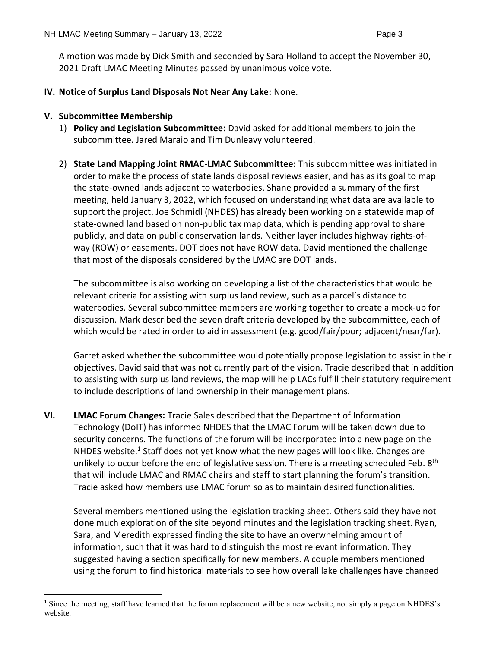A motion was made by Dick Smith and seconded by Sara Holland to accept the November 30, 2021 Draft LMAC Meeting Minutes passed by unanimous voice vote.

**IV. Notice of Surplus Land Disposals Not Near Any Lake:** None.

### **V. Subcommittee Membership**

- 1) **Policy and Legislation Subcommittee:** David asked for additional members to join the subcommittee. Jared Maraio and Tim Dunleavy volunteered.
- 2) **State Land Mapping Joint RMAC-LMAC Subcommittee:** This subcommittee was initiated in order to make the process of state lands disposal reviews easier, and has as its goal to map the state-owned lands adjacent to waterbodies. Shane provided a summary of the first meeting, held January 3, 2022, which focused on understanding what data are available to support the project. Joe Schmidl (NHDES) has already been working on a statewide map of state-owned land based on non-public tax map data, which is pending approval to share publicly, and data on public conservation lands. Neither layer includes highway rights-ofway (ROW) or easements. DOT does not have ROW data. David mentioned the challenge that most of the disposals considered by the LMAC are DOT lands.

The subcommittee is also working on developing a list of the characteristics that would be relevant criteria for assisting with surplus land review, such as a parcel's distance to waterbodies. Several subcommittee members are working together to create a mock-up for discussion. Mark described the seven draft criteria developed by the subcommittee, each of which would be rated in order to aid in assessment (e.g. good/fair/poor; adjacent/near/far).

Garret asked whether the subcommittee would potentially propose legislation to assist in their objectives. David said that was not currently part of the vision. Tracie described that in addition to assisting with surplus land reviews, the map will help LACs fulfill their statutory requirement to include descriptions of land ownership in their management plans.

**VI. LMAC Forum Changes:** Tracie Sales described that the Department of Information Technology (DoIT) has informed NHDES that the LMAC Forum will be taken down due to security concerns. The functions of the forum will be incorporated into a new page on the NHDES website.<sup>1</sup> Staff does not yet know what the new pages will look like. Changes are unlikely to occur before the end of legislative session. There is a meeting scheduled Feb. 8<sup>th</sup> that will include LMAC and RMAC chairs and staff to start planning the forum's transition. Tracie asked how members use LMAC forum so as to maintain desired functionalities.

Several members mentioned using the legislation tracking sheet. Others said they have not done much exploration of the site beyond minutes and the legislation tracking sheet. Ryan, Sara, and Meredith expressed finding the site to have an overwhelming amount of information, such that it was hard to distinguish the most relevant information. They suggested having a section specifically for new members. A couple members mentioned using the forum to find historical materials to see how overall lake challenges have changed

Since the meeting, staff have learned that the forum replacement will be a new website, not simply a page on NHDES's website.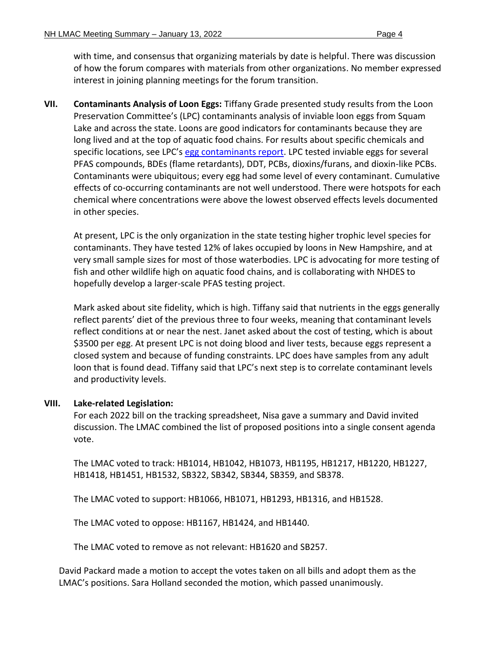with time, and consensus that organizing materials by date is helpful. There was discussion of how the forum compares with materials from other organizations. No member expressed interest in joining planning meetings for the forum transition.

**VII. Contaminants Analysis of Loon Eggs:** Tiffany Grade presented study results from the Loon Preservation Committee's (LPC) contaminants analysis of inviable loon eggs from Squam Lake and across the state. Loons are good indicators for contaminants because they are long lived and at the top of aquatic food chains. For results about specific chemicals and specific locations, see LPC's [egg contaminants report.](https://loon.org/wp-content/uploads/2021/11/LPC-Egg-Contaminant-Report-2021.pdf) LPC tested inviable eggs for several PFAS compounds, BDEs (flame retardants), DDT, PCBs, dioxins/furans, and dioxin-like PCBs. Contaminants were ubiquitous; every egg had some level of every contaminant. Cumulative effects of co-occurring contaminants are not well understood. There were hotspots for each chemical where concentrations were above the lowest observed effects levels documented in other species.

At present, LPC is the only organization in the state testing higher trophic level species for contaminants. They have tested 12% of lakes occupied by loons in New Hampshire, and at very small sample sizes for most of those waterbodies. LPC is advocating for more testing of fish and other wildlife high on aquatic food chains, and is collaborating with NHDES to hopefully develop a larger-scale PFAS testing project.

Mark asked about site fidelity, which is high. Tiffany said that nutrients in the eggs generally reflect parents' diet of the previous three to four weeks, meaning that contaminant levels reflect conditions at or near the nest. Janet asked about the cost of testing, which is about \$3500 per egg. At present LPC is not doing blood and liver tests, because eggs represent a closed system and because of funding constraints. LPC does have samples from any adult loon that is found dead. Tiffany said that LPC's next step is to correlate contaminant levels and productivity levels.

### **VIII. Lake-related Legislation:**

For each 2022 bill on the tracking spreadsheet, Nisa gave a summary and David invited discussion. The LMAC combined the list of proposed positions into a single consent agenda vote.

The LMAC voted to track: HB1014, HB1042, HB1073, HB1195, HB1217, HB1220, HB1227, HB1418, HB1451, HB1532, SB322, SB342, SB344, SB359, and SB378.

The LMAC voted to support: HB1066, HB1071, HB1293, HB1316, and HB1528.

The LMAC voted to oppose: HB1167, HB1424, and HB1440.

The LMAC voted to remove as not relevant: HB1620 and SB257.

David Packard made a motion to accept the votes taken on all bills and adopt them as the LMAC's positions. Sara Holland seconded the motion, which passed unanimously.